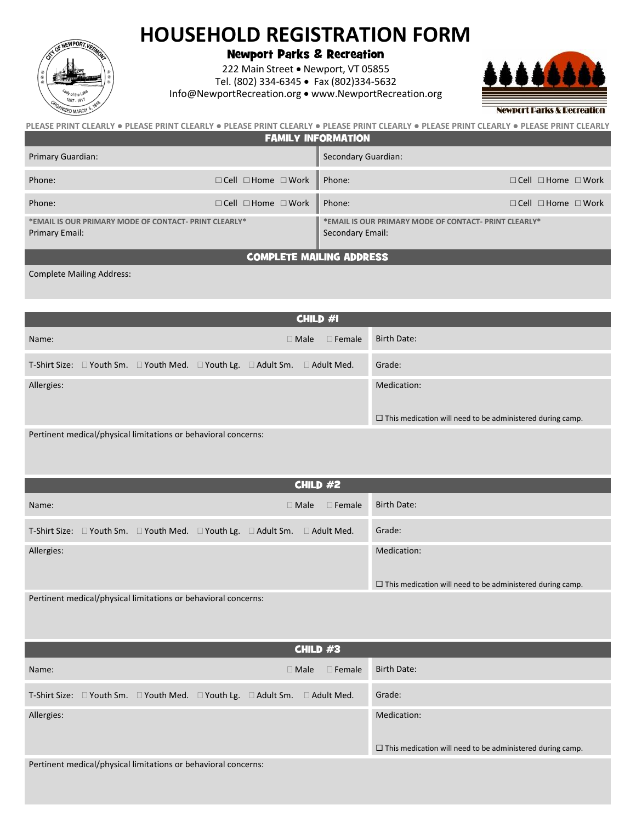## **HOUSEHOLD REGISTRATION FORM**



Newport Parks & Recreation

222 Main Street • Newport, VT 05855 Tel. (802) 334-6345 • Fax (802)334-5632 Info@NewportRecreation.org • www.NewportRecreation.org



| PLEASE PRINT CLEARLY ● PLEASE PRINT CLEARLY ● PLEASE PRINT CLEARLY ● PLEASE PRINT CLEARLY ● PLEASE PRINT CLEARLY ● PLEASE PRINT CLEARLY |  |  |  |
|-----------------------------------------------------------------------------------------------------------------------------------------|--|--|--|
| <b>FAMILY INFORMATION</b>                                                                                                               |  |  |  |

| Primary Guardian:                                                      |                                     | Secondary Guardian:                                                       |                                     |
|------------------------------------------------------------------------|-------------------------------------|---------------------------------------------------------------------------|-------------------------------------|
| Phone:                                                                 | $\Box$ Cell $\Box$ Home $\Box$ Work | Phone:                                                                    | $\Box$ Cell $\Box$ Home $\Box$ Work |
| Phone:                                                                 | $\Box$ Cell $\Box$ Home $\Box$ Work | Phone:                                                                    | $\Box$ Cell $\Box$ Home $\Box$ Work |
| *EMAIL IS OUR PRIMARY MODE OF CONTACT-PRINT CLEARLY*<br>Primary Email: |                                     | *EMAIL IS OUR PRIMARY MODE OF CONTACT- PRINT CLEARLY*<br>Secondary Email: |                                     |
| <b>COMPLETE MAILING ADDRESS</b>                                        |                                     |                                                                           |                                     |

Complete Mailing Address:

| CHILD #1                                                                                                |                                                                  |  |
|---------------------------------------------------------------------------------------------------------|------------------------------------------------------------------|--|
| $\Box$ Male $\Box$ Female $\Box$<br>Name:                                                               | Birth Date:                                                      |  |
| T-Shirt Size: $\Box$ Youth Sm. $\Box$ Youth Med. $\Box$ Youth Lg. $\Box$ Adult Sm.<br>$\Box$ Adult Med. | Grade:                                                           |  |
| Allergies:                                                                                              | Medication:                                                      |  |
|                                                                                                         | $\Box$ This medication will need to be administered during camp. |  |
| Pertinent medical/physical limitations or behavioral concerns:                                          |                                                                  |  |

| CHILD $#2$                                                                         |                              |                                                                  |
|------------------------------------------------------------------------------------|------------------------------|------------------------------------------------------------------|
| Name:                                                                              | $\Box$ Male<br>$\Box$ Female | Birth Date:                                                      |
| T-Shirt Size: $\Box$ Youth Sm. $\Box$ Youth Med. $\Box$ Youth Lg. $\Box$ Adult Sm. | $\Box$ Adult Med.            | Grade:                                                           |
| Allergies:                                                                         |                              | Medication:                                                      |
|                                                                                    |                              | $\Box$ This medication will need to be administered during camp. |
| Pertinent medical/physical limitations or behavioral concerns:                     |                              |                                                                  |

| CHILD $#3$                                                                                           |                                                                                 |  |
|------------------------------------------------------------------------------------------------------|---------------------------------------------------------------------------------|--|
| $\Box$ Male<br>$\Box$ Female<br>Name:                                                                | Birth Date:                                                                     |  |
| T-Shirt Size: $\Box$ Youth Sm. $\Box$ Youth Med. $\Box$ Youth Lg. $\Box$ Adult Sm. $\Box$ Adult Med. | Grade:                                                                          |  |
| Allergies:                                                                                           | Medication:<br>$\Box$ This medication will need to be administered during camp. |  |
|                                                                                                      |                                                                                 |  |

Pertinent medical/physical limitations or behavioral concerns: